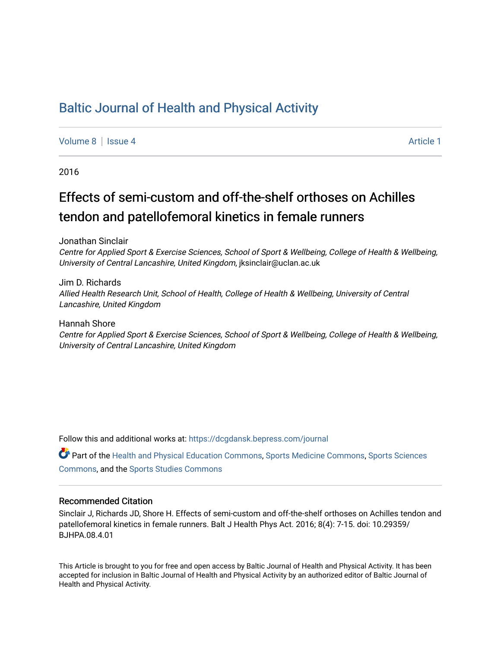## [Baltic Journal of Health and Physical Activity](https://dcgdansk.bepress.com/journal)

[Volume 8](https://dcgdansk.bepress.com/journal/vol8) | [Issue 4](https://dcgdansk.bepress.com/journal/vol8/iss4) Article 1

2016

# Effects of semi-custom and off-the-shelf orthoses on Achilles tendon and patellofemoral kinetics in female runners

Jonathan Sinclair

Centre for Applied Sport & Exercise Sciences, School of Sport & Wellbeing, College of Health & Wellbeing, University of Central Lancashire, United Kingdom, jksinclair@uclan.ac.uk

Jim D. Richards Allied Health Research Unit, School of Health, College of Health & Wellbeing, University of Central Lancashire, United Kingdom

Hannah Shore Centre for Applied Sport & Exercise Sciences, School of Sport & Wellbeing, College of Health & Wellbeing, University of Central Lancashire, United Kingdom

Follow this and additional works at: [https://dcgdansk.bepress.com/journal](https://dcgdansk.bepress.com/journal?utm_source=dcgdansk.bepress.com%2Fjournal%2Fvol8%2Fiss4%2F1&utm_medium=PDF&utm_campaign=PDFCoverPages)

Part of the [Health and Physical Education Commons](http://network.bepress.com/hgg/discipline/1327?utm_source=dcgdansk.bepress.com%2Fjournal%2Fvol8%2Fiss4%2F1&utm_medium=PDF&utm_campaign=PDFCoverPages), [Sports Medicine Commons,](http://network.bepress.com/hgg/discipline/1331?utm_source=dcgdansk.bepress.com%2Fjournal%2Fvol8%2Fiss4%2F1&utm_medium=PDF&utm_campaign=PDFCoverPages) [Sports Sciences](http://network.bepress.com/hgg/discipline/759?utm_source=dcgdansk.bepress.com%2Fjournal%2Fvol8%2Fiss4%2F1&utm_medium=PDF&utm_campaign=PDFCoverPages) [Commons](http://network.bepress.com/hgg/discipline/759?utm_source=dcgdansk.bepress.com%2Fjournal%2Fvol8%2Fiss4%2F1&utm_medium=PDF&utm_campaign=PDFCoverPages), and the [Sports Studies Commons](http://network.bepress.com/hgg/discipline/1198?utm_source=dcgdansk.bepress.com%2Fjournal%2Fvol8%2Fiss4%2F1&utm_medium=PDF&utm_campaign=PDFCoverPages) 

#### Recommended Citation

Sinclair J, Richards JD, Shore H. Effects of semi-custom and off-the-shelf orthoses on Achilles tendon and patellofemoral kinetics in female runners. Balt J Health Phys Act. 2016; 8(4): 7-15. doi: 10.29359/ BJHPA.08.4.01

This Article is brought to you for free and open access by Baltic Journal of Health and Physical Activity. It has been accepted for inclusion in Baltic Journal of Health and Physical Activity by an authorized editor of Baltic Journal of Health and Physical Activity.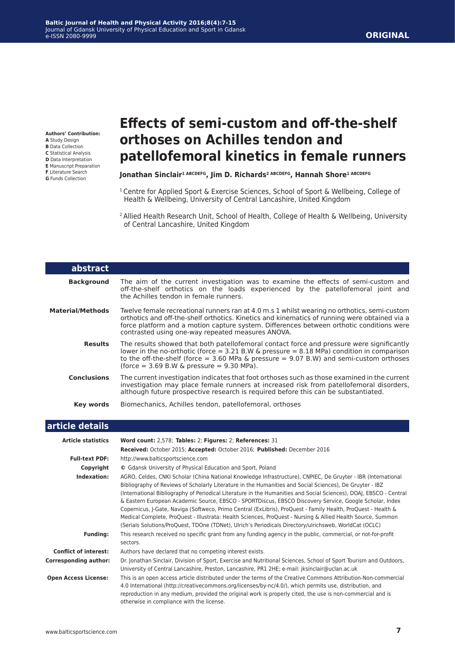**Authors' Contribution: A** Study Design **B** Data Collection **C** Statistical Analysis **D** Data Interpretation **E** Manuscript Preparation **F** Literature Search **G** Funds Collection

# **Effects of semi-custom and off-the-shelf orthoses on Achilles tendon and patellofemoral kinetics in female runners**

#### **Jonathan Sinclair1 ABCDEFG, Jim D. Richards2 ABCDEFG, Hannah Shore1 ABCDEFG**

- <sup>1</sup> Centre for Applied Sport & Exercise Sciences, School of Sport & Wellbeing, College of Health & Wellbeing, University of Central Lancashire, United Kingdom
- 2 Allied Health Research Unit, School of Health, College of Health & Wellbeing, University of Central Lancashire, United Kingdom

| abstract                     |                                                                                                                                                                                                                                                                                                                                                                                                                                                                                                                                                                                                                                                                                                                                                                                                      |
|------------------------------|------------------------------------------------------------------------------------------------------------------------------------------------------------------------------------------------------------------------------------------------------------------------------------------------------------------------------------------------------------------------------------------------------------------------------------------------------------------------------------------------------------------------------------------------------------------------------------------------------------------------------------------------------------------------------------------------------------------------------------------------------------------------------------------------------|
| <b>Background</b>            | The aim of the current investigation was to examine the effects of semi-custom and<br>off-the-shelf orthotics on the loads experienced by the patellofemoral joint and<br>the Achilles tendon in female runners.                                                                                                                                                                                                                                                                                                                                                                                                                                                                                                                                                                                     |
| <b>Material/Methods</b>      | Twelve female recreational runners ran at 4.0 m.s 1 whilst wearing no orthotics, semi-custom<br>orthotics and off-the-shelf orthotics. Kinetics and kinematics of running were obtained via a<br>force platform and a motion capture system. Differences between orthotic conditions were<br>contrasted using one-way repeated measures ANOVA.                                                                                                                                                                                                                                                                                                                                                                                                                                                       |
| <b>Results</b>               | The results showed that both patellofemoral contact force and pressure were significantly<br>lower in the no-orthotic (force = $3.21$ B.W & pressure = $8.18$ MPa) condition in comparison<br>to the off-the-shelf (force = $3.60$ MPa & pressure = $9.07$ B.W) and semi-custom orthoses<br>(force $= 3.69$ B.W & pressure $= 9.30$ MPa).                                                                                                                                                                                                                                                                                                                                                                                                                                                            |
| <b>Conclusions</b>           | The current investigation indicates that foot orthoses such as those examined in the current<br>investigation may place female runners at increased risk from patellofemoral disorders,<br>although future prospective research is required before this can be substantiated.                                                                                                                                                                                                                                                                                                                                                                                                                                                                                                                        |
| <b>Key words</b>             | Biomechanics, Achilles tendon, patellofemoral, orthoses                                                                                                                                                                                                                                                                                                                                                                                                                                                                                                                                                                                                                                                                                                                                              |
| article details              |                                                                                                                                                                                                                                                                                                                                                                                                                                                                                                                                                                                                                                                                                                                                                                                                      |
| <b>Article statistics</b>    | Word count: 2,578; Tables: 2; Figures: 2; References: 31                                                                                                                                                                                                                                                                                                                                                                                                                                                                                                                                                                                                                                                                                                                                             |
|                              | Received: October 2015; Accepted: October 2016; Published: December 2016                                                                                                                                                                                                                                                                                                                                                                                                                                                                                                                                                                                                                                                                                                                             |
| <b>Full-text PDF:</b>        | http://www.balticsportscience.com                                                                                                                                                                                                                                                                                                                                                                                                                                                                                                                                                                                                                                                                                                                                                                    |
| Copyright                    | © Gdansk University of Physical Education and Sport, Poland                                                                                                                                                                                                                                                                                                                                                                                                                                                                                                                                                                                                                                                                                                                                          |
| Indexation:                  | AGRO, Celdes, CNKI Scholar (China National Knowledge Infrastructure), CNPIEC, De Gruyter - IBR (International<br>Bibliography of Reviews of Scholarly Literature in the Humanities and Social Sciences), De Gruyter - IBZ<br>(International Bibliography of Periodical Literature in the Humanities and Social Sciences), DOAJ, EBSCO - Central<br>& Eastern European Academic Source, EBSCO - SPORTDiscus, EBSCO Discovery Service, Google Scholar, Index<br>Copernicus, J-Gate, Naviga (Softweco, Primo Central (ExLibris), ProQuest - Family Health, ProQuest - Health &<br>Medical Complete, ProQuest - Illustrata: Health Sciences, ProQuest - Nursing & Allied Health Source, Summon<br>(Serials Solutions/ProQuest, TDOne (TDNet), Ulrich's Periodicals Directory/ulrichsweb, WorldCat (OCLC) |
| <b>Funding:</b>              | This research received no specific grant from any funding agency in the public, commercial, or not-for-profit<br>sectors.                                                                                                                                                                                                                                                                                                                                                                                                                                                                                                                                                                                                                                                                            |
| <b>Conflict of interest:</b> | Authors have declared that no competing interest exists.                                                                                                                                                                                                                                                                                                                                                                                                                                                                                                                                                                                                                                                                                                                                             |
| <b>Corresponding author:</b> | Dr. Jonathan Sinclair, Division of Sport, Exercise and Nutritional Sciences, School of Sport Tourism and Outdoors,<br>University of Central Lancashire, Preston, Lancashire, PR1 2HE; e-mail: jksinclair@uclan.ac.uk                                                                                                                                                                                                                                                                                                                                                                                                                                                                                                                                                                                 |
| <b>Open Access License:</b>  | This is an open access article distributed under the terms of the Creative Commons Attribution-Non-commercial<br>4.0 International (http://creativecommons.org/licenses/by-nc/4.0/), which permits use, distribution, and<br>reproduction in any medium, provided the original work is properly cited, the use is non-commercial and is<br>otherwise in compliance with the license.                                                                                                                                                                                                                                                                                                                                                                                                                 |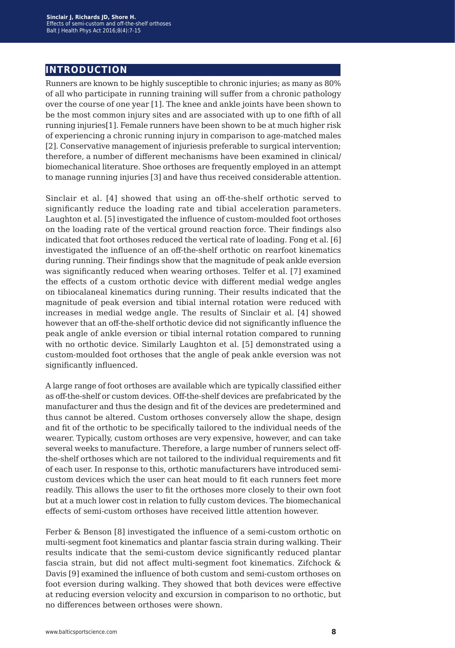## **introduction**

Runners are known to be highly susceptible to chronic injuries; as many as 80% of all who participate in running training will suffer from a chronic pathology over the course of one year [1]. The knee and ankle joints have been shown to be the most common injury sites and are associated with up to one fifth of all running injuries[1]. Female runners have been shown to be at much higher risk of experiencing a chronic running injury in comparison to age-matched males [2]. Conservative management of injuriesis preferable to surgical intervention; therefore, a number of different mechanisms have been examined in clinical/ biomechanical literature. Shoe orthoses are frequently employed in an attempt to manage running injuries [3] and have thus received considerable attention.

Sinclair et al. [4] showed that using an off-the-shelf orthotic served to significantly reduce the loading rate and tibial acceleration parameters. Laughton et al. [5] investigated the influence of custom-moulded foot orthoses on the loading rate of the vertical ground reaction force. Their findings also indicated that foot orthoses reduced the vertical rate of loading. Fong et al. [6] investigated the influence of an off-the-shelf orthotic on rearfoot kinematics during running. Their findings show that the magnitude of peak ankle eversion was significantly reduced when wearing orthoses. Telfer et al. [7] examined the effects of a custom orthotic device with different medial wedge angles on tibiocalaneal kinematics during running. Their results indicated that the magnitude of peak eversion and tibial internal rotation were reduced with increases in medial wedge angle. The results of Sinclair et al. [4] showed however that an off-the-shelf orthotic device did not significantly influence the peak angle of ankle eversion or tibial internal rotation compared to running with no orthotic device. Similarly Laughton et al. [5] demonstrated using a custom-moulded foot orthoses that the angle of peak ankle eversion was not significantly influenced.

A large range of foot orthoses are available which are typically classified either as off-the-shelf or custom devices. Off-the-shelf devices are prefabricated by the manufacturer and thus the design and fit of the devices are predetermined and thus cannot be altered. Custom orthoses conversely allow the shape, design and fit of the orthotic to be specifically tailored to the individual needs of the wearer. Typically, custom orthoses are very expensive, however, and can take several weeks to manufacture. Therefore, a large number of runners select offthe-shelf orthoses which are not tailored to the individual requirements and fit of each user. In response to this, orthotic manufacturers have introduced semicustom devices which the user can heat mould to fit each runners feet more readily. This allows the user to fit the orthoses more closely to their own foot but at a much lower cost in relation to fully custom devices. The biomechanical effects of semi-custom orthoses have received little attention however.

Ferber & Benson [8] investigated the influence of a semi-custom orthotic on multi-segment foot kinematics and plantar fascia strain during walking. Their results indicate that the semi-custom device significantly reduced plantar fascia strain, but did not affect multi-segment foot kinematics. Zifchock & Davis [9] examined the influence of both custom and semi-custom orthoses on foot eversion during walking. They showed that both devices were effective at reducing eversion velocity and excursion in comparison to no orthotic, but no differences between orthoses were shown.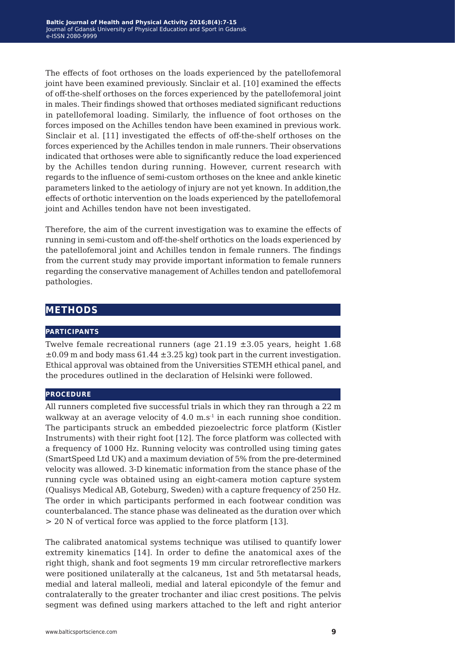The effects of foot orthoses on the loads experienced by the patellofemoral joint have been examined previously. Sinclair et al. [10] examined the effects of off-the-shelf orthoses on the forces experienced by the patellofemoral joint in males. Their findings showed that orthoses mediated significant reductions in patellofemoral loading. Similarly, the influence of foot orthoses on the forces imposed on the Achilles tendon have been examined in previous work. Sinclair et al. [11] investigated the effects of off-the-shelf orthoses on the forces experienced by the Achilles tendon in male runners. Their observations indicated that orthoses were able to significantly reduce the load experienced by the Achilles tendon during running. However, current research with regards to the influence of semi-custom orthoses on the knee and ankle kinetic parameters linked to the aetiology of injury are not yet known. In addition,the effects of orthotic intervention on the loads experienced by the patellofemoral joint and Achilles tendon have not been investigated.

Therefore, the aim of the current investigation was to examine the effects of running in semi-custom and off-the-shelf orthotics on the loads experienced by the patellofemoral joint and Achilles tendon in female runners. The findings from the current study may provide important information to female runners regarding the conservative management of Achilles tendon and patellofemoral pathologies.

### **methods**

#### **participants**

Twelve female recreational runners (age  $21.19 \pm 3.05$  years, height 1.68  $\pm 0.09$  m and body mass 61.44  $\pm 3.25$  kg) took part in the current investigation. Ethical approval was obtained from the Universities STEMH ethical panel, and the procedures outlined in the declaration of Helsinki were followed.

#### **procedure**

All runners completed five successful trials in which they ran through a 22 m walkway at an average velocity of  $4.0 \text{ m.s}$ <sup>1</sup> in each running shoe condition. The participants struck an embedded piezoelectric force platform (Kistler Instruments) with their right foot [12]. The force platform was collected with a frequency of 1000 Hz. Running velocity was controlled using timing gates (SmartSpeed Ltd UK) and a maximum deviation of 5% from the pre-determined velocity was allowed. 3-D kinematic information from the stance phase of the running cycle was obtained using an eight-camera motion capture system (Qualisys Medical AB, Goteburg, Sweden) with a capture frequency of 250 Hz. The order in which participants performed in each footwear condition was counterbalanced. The stance phase was delineated as the duration over which > 20 N of vertical force was applied to the force platform [13].

The calibrated anatomical systems technique was utilised to quantify lower extremity kinematics [14]. In order to define the anatomical axes of the right thigh, shank and foot segments 19 mm circular retroreflective markers were positioned unilaterally at the calcaneus, 1st and 5th metatarsal heads, medial and lateral malleoli, medial and lateral epicondyle of the femur and contralaterally to the greater trochanter and iliac crest positions. The pelvis segment was defined using markers attached to the left and right anterior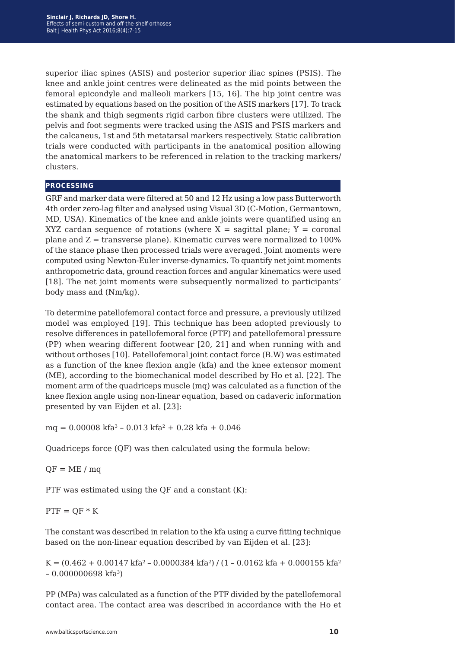superior iliac spines (ASIS) and posterior superior iliac spines (PSIS). The knee and ankle joint centres were delineated as the mid points between the femoral epicondyle and malleoli markers [15, 16]. The hip joint centre was estimated by equations based on the position of the ASIS markers [17]. To track the shank and thigh segments rigid carbon fibre clusters were utilized. The pelvis and foot segments were tracked using the ASIS and PSIS markers and the calcaneus, 1st and 5th metatarsal markers respectively. Static calibration trials were conducted with participants in the anatomical position allowing the anatomical markers to be referenced in relation to the tracking markers/ clusters.

#### **processing**

GRF and marker data were filtered at 50 and 12 Hz using a low pass Butterworth 4th order zero-lag filter and analysed using Visual 3D (C-Motion, Germantown, MD, USA). Kinematics of the knee and ankle joints were quantified using an XYZ cardan sequence of rotations (where  $X =$  sagittal plane;  $Y =$  coronal plane and  $Z =$  transverse plane). Kinematic curves were normalized to 100% of the stance phase then processed trials were averaged. Joint moments were computed using Newton-Euler inverse-dynamics. To quantify net joint moments anthropometric data, ground reaction forces and angular kinematics were used [18]. The net joint moments were subsequently normalized to participants' body mass and (Nm/kg).

To determine patellofemoral contact force and pressure, a previously utilized model was employed [19]. This technique has been adopted previously to resolve differences in patellofemoral force (PTF) and patellofemoral pressure (PP) when wearing different footwear [20, 21] and when running with and without orthoses [10]. Patellofemoral joint contact force (B.W) was estimated as a function of the knee flexion angle (kfa) and the knee extensor moment (ME), according to the biomechanical model described by Ho et al. [22]. The moment arm of the quadriceps muscle (mq) was calculated as a function of the knee flexion angle using non-linear equation, based on cadaveric information presented by van Eijden et al. [23]:

 $mq = 0.00008$  kfa<sup>3</sup> – 0.013 kfa<sup>2</sup> + 0.28 kfa + 0.046

Quadriceps force (QF) was then calculated using the formula below:

 $OF = ME / ma$ 

PTF was estimated using the QF and a constant (K):

 $PTF = QF * K$ 

The constant was described in relation to the kfa using a curve fitting technique based on the non-linear equation described by van Eijden et al. [23]:

K =  $(0.462 + 0.00147 \text{ kfa}^2 - 0.0000384 \text{ kfa}^2) / (1 - 0.0162 \text{ kfa} + 0.000155 \text{ kfa}^2)$  $-0.000000698$  kfa<sup>3</sup>)

PP (MPa) was calculated as a function of the PTF divided by the patellofemoral contact area. The contact area was described in accordance with the Ho et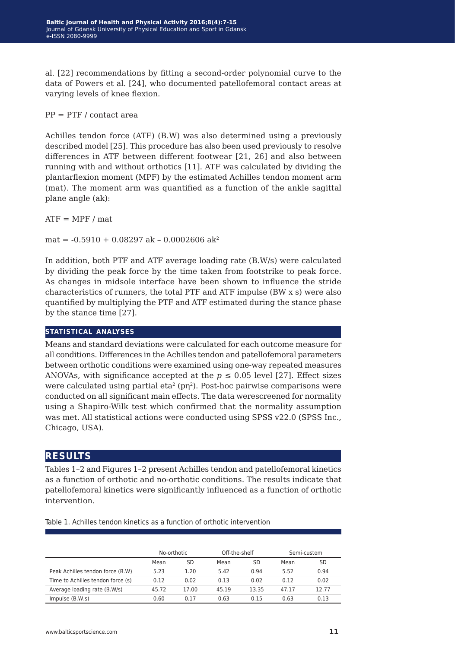al. [22] recommendations by fitting a second-order polynomial curve to the data of Powers et al. [24], who documented patellofemoral contact areas at varying levels of knee flexion.

 $PP = PTF / \text{contact area}$ 

Achilles tendon force (ATF) (B.W) was also determined using a previously described model [25]. This procedure has also been used previously to resolve differences in ATF between different footwear [21, 26] and also between running with and without orthotics [11]. ATF was calculated by dividing the plantarflexion moment (MPF) by the estimated Achilles tendon moment arm (mat). The moment arm was quantified as a function of the ankle sagittal plane angle (ak):

 $ATF = MPF / mat$ 

 $mat = -0.5910 + 0.08297$  ak  $-0.0002606$  ak<sup>2</sup>

In addition, both PTF and ATF average loading rate (B.W/s) were calculated by dividing the peak force by the time taken from footstrike to peak force. As changes in midsole interface have been shown to influence the stride characteristics of runners, the total PTF and ATF impulse (BW x s) were also quantified by multiplying the PTF and ATF estimated during the stance phase by the stance time [27].

#### **statistical analyses**

Means and standard deviations were calculated for each outcome measure for all conditions. Differences in the Achilles tendon and patellofemoral parameters between orthotic conditions were examined using one-way repeated measures ANOVAs, with significance accepted at the  $p \leq 0.05$  level [27]. Effect sizes were calculated using partial eta<sup>2</sup> ( $p\eta^2$ ). Post-hoc pairwise comparisons were conducted on all significant main effects. The data werescreened for normality using a Shapiro-Wilk test which confirmed that the normality assumption was met. All statistical actions were conducted using SPSS v22.0 (SPSS Inc., Chicago, USA).

#### **results**

Tables 1–2 and Figures 1–2 present Achilles tendon and patellofemoral kinetics as a function of orthotic and no-orthotic conditions. The results indicate that patellofemoral kinetics were significantly influenced as a function of orthotic intervention.

|                                   | No-orthotic |       | Off-the-shelf |       | Semi-custom |       |
|-----------------------------------|-------------|-------|---------------|-------|-------------|-------|
|                                   | Mean        | SD    | Mean          | SD    | Mean        | SD    |
| Peak Achilles tendon force (B.W)  | 5.23        | 1.20  | 5.42          | 0.94  | 5.52        | 0.94  |
| Time to Achilles tendon force (s) | 0.12        | 0.02  | 0.13          | 0.02  | 0.12        | 0.02  |
| Average loading rate (B.W/s)      | 45.72       | 17.00 | 45.19         | 13.35 | 47.17       | 12.77 |
| Impulse $(B.W.s)$                 | 0.60        | 0.17  | 0.63          | 0.15  | 0.63        | 0.13  |

Table 1. Achilles tendon kinetics as a function of orthotic intervention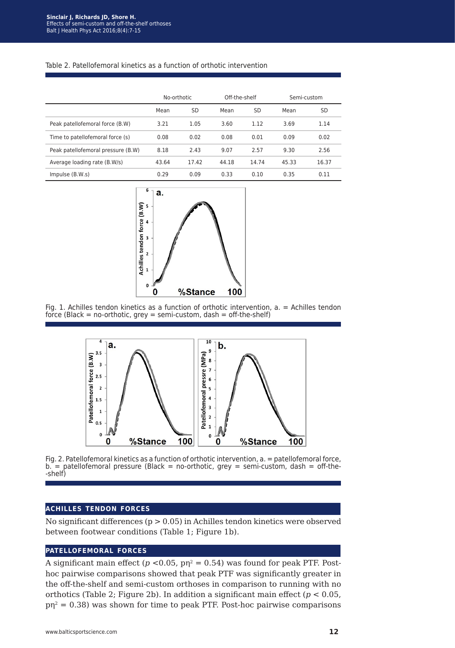#### Table 2. Patellofemoral kinetics as a function of orthotic intervention

|                                    | No-orthotic |           | Off-the-shelf |           | Semi-custom |           |
|------------------------------------|-------------|-----------|---------------|-----------|-------------|-----------|
|                                    | Mean        | <b>SD</b> | Mean          | <b>SD</b> | Mean        | <b>SD</b> |
| Peak patellofemoral force (B.W)    | 3.21        | 1.05      | 3.60          | 1.12      | 3.69        | 1.14      |
| Time to patellofemoral force (s)   | 0.08        | 0.02      | 0.08          | 0.01      | 0.09        | 0.02      |
| Peak patellofemoral pressure (B.W) | 8.18        | 2.43      | 9.07          | 2.57      | 9.30        | 2.56      |
| Average loading rate (B.W/s)       | 43.64       | 17.42     | 44.18         | 14.74     | 45.33       | 16.37     |
| Impulse $(B.W.s)$                  | 0.29        | 0.09      | 0.33          | 0.10      | 0.35        | 0.11      |



Fig. 1. Achilles tendon kinetics as a function of orthotic intervention, a. = Achilles tendon force (Black = no-orthotic, grey = semi-custom, dash = off-the-shelf)



Fig. 2. Patellofemoral kinetics as a function of orthotic intervention, a. = patellofemoral force,  $b.$  = patellofemoral pressure (Black = no-orthotic, grey = semi-custom, dash = off-the--shelf)

#### **achilles tendon forces**

No significant differences ( $p > 0.05$ ) in Achilles tendon kinetics were observed between footwear conditions (Table 1; Figure 1b).

#### **patellofemoral forces**

A significant main effect ( $p < 0.05$ ,  $p\eta^2 = 0.54$ ) was found for peak PTF. Posthoc pairwise comparisons showed that peak PTF was significantly greater in the off-the-shelf and semi-custom orthoses in comparison to running with no orthotics (Table 2; Figure 2b). In addition a significant main effect (*p <* 0.05,  $pp^2$  = 0.38) was shown for time to peak PTF. Post-hoc pairwise comparisons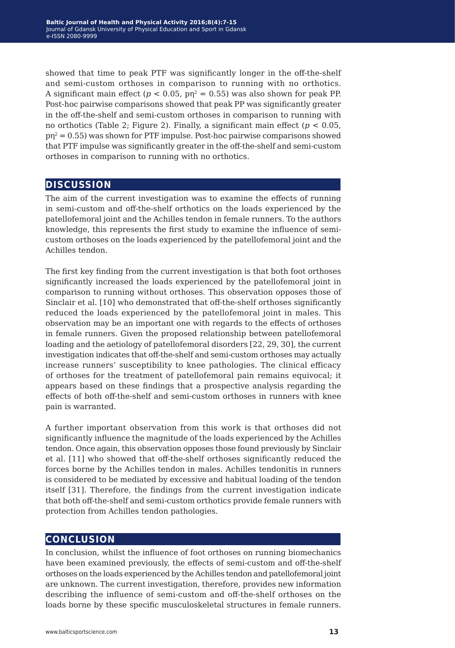showed that time to peak PTF was significantly longer in the off-the-shelf and semi-custom orthoses in comparison to running with no orthotics. A significant main effect ( $p < 0.05$ ,  $p_1^2 = 0.55$ ) was also shown for peak PP. Post-hoc pairwise comparisons showed that peak PP was significantly greater in the off-the-shelf and semi-custom orthoses in comparison to running with no orthotics (Table 2; Figure 2). Finally, a significant main effect (*p <* 0.05,  $pn^2 = 0.55$ ) was shown for PTF impulse. Post-hoc pairwise comparisons showed that PTF impulse was significantly greater in the off-the-shelf and semi-custom orthoses in comparison to running with no orthotics.

### **discussion**

The aim of the current investigation was to examine the effects of running in semi-custom and off-the-shelf orthotics on the loads experienced by the patellofemoral joint and the Achilles tendon in female runners. To the authors knowledge, this represents the first study to examine the influence of semicustom orthoses on the loads experienced by the patellofemoral joint and the Achilles tendon.

The first key finding from the current investigation is that both foot orthoses significantly increased the loads experienced by the patellofemoral joint in comparison to running without orthoses. This observation opposes those of Sinclair et al. [10] who demonstrated that off-the-shelf orthoses significantly reduced the loads experienced by the patellofemoral joint in males. This observation may be an important one with regards to the effects of orthoses in female runners. Given the proposed relationship between patellofemoral loading and the aetiology of patellofemoral disorders [22, 29, 30], the current investigation indicates that off-the-shelf and semi-custom orthoses may actually increase runners' susceptibility to knee pathologies. The clinical efficacy of orthoses for the treatment of patellofemoral pain remains equivocal; it appears based on these findings that a prospective analysis regarding the effects of both off-the-shelf and semi-custom orthoses in runners with knee pain is warranted.

A further important observation from this work is that orthoses did not significantly influence the magnitude of the loads experienced by the Achilles tendon. Once again, this observation opposes those found previously by Sinclair et al. [11] who showed that off-the-shelf orthoses significantly reduced the forces borne by the Achilles tendon in males. Achilles tendonitis in runners is considered to be mediated by excessive and habitual loading of the tendon itself [31]. Therefore, the findings from the current investigation indicate that both off-the-shelf and semi-custom orthotics provide female runners with protection from Achilles tendon pathologies.

### **conclusion**

In conclusion, whilst the influence of foot orthoses on running biomechanics have been examined previously, the effects of semi-custom and off-the-shelf orthoses on the loads experienced by the Achilles tendon and patellofemoral joint are unknown. The current investigation, therefore, provides new information describing the influence of semi-custom and off-the-shelf orthoses on the loads borne by these specific musculoskeletal structures in female runners.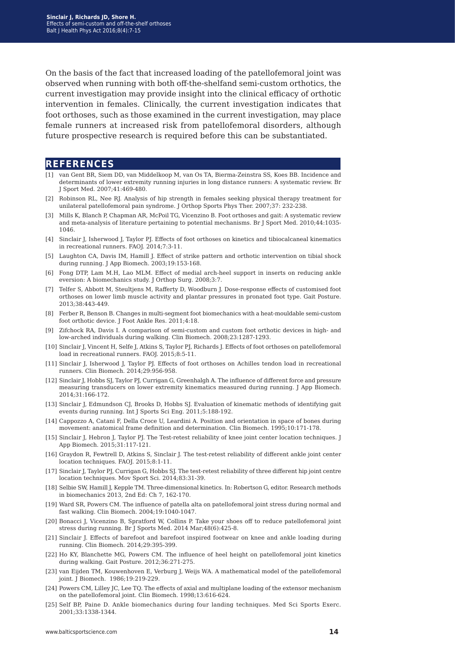On the basis of the fact that increased loading of the patellofemoral joint was observed when running with both off-the-shelfand semi-custom orthotics, the current investigation may provide insight into the clinical efficacy of orthotic intervention in females. Clinically, the current investigation indicates that foot orthoses, such as those examined in the current investigation, may place female runners at increased risk from patellofemoral disorders, although future prospective research is required before this can be substantiated.

#### **references**

- [1] van Gent BR, Siem DD, van Middelkoop M, van Os TA, Bierma-Zeinstra SS, Koes BB. Incidence and determinants of lower extremity running injuries in long distance runners: A systematic review. Br J Sport Med. 2007;41:469-480.
- [2] Robinson RL, Nee RJ. Analysis of hip strength in females seeking physical therapy treatment for unilateral patellofemoral pain syndrome. J Orthop Sports Phys Ther. 2007;37: 232-238.
- [3] Mills K, Blanch P, Chapman AR, McPoil TG, Vicenzino B. Foot orthoses and gait: A systematic review and meta-analysis of literature pertaining to potential mechanisms. Br J Sport Med. 2010;44:1035- 1046.
- [4] Sinclair J, Isherwood J, Taylor PJ. Effects of foot orthoses on kinetics and tibiocalcaneal kinematics in recreational runners. FAOJ. 2014;7:3-11.
- [5] Laughton CA, Davis IM, Hamill J. Effect of strike pattern and orthotic intervention on tibial shock during running. J App Biomech. 2003;19:153-168.
- [6] Fong DTP, Lam M.H, Lao MLM. Effect of medial arch-heel support in inserts on reducing ankle eversion: A biomechanics study. J Orthop Surg. 2008;3:7.
- [7] Telfer S, Abbott M, Steultjens M, Rafferty D, Woodburn J. Dose-response effects of customised foot orthoses on lower limb muscle activity and plantar pressures in pronated foot type. Gait Posture. 2013;38:443-449.
- [8] Ferber R, Benson B. Changes in multi-segment foot biomechanics with a heat-mouldable semi-custom foot orthotic device. J Foot Ankle Res. 2011;4:18.
- [9] Zifchock RA, Davis I. A comparison of semi-custom and custom foot orthotic devices in high- and low-arched individuals during walking. Clin Biomech. 2008;23:1287-1293.
- [10] Sinclair J, Vincent H, Selfe J, Atkins S, Taylor PJ, Richards J. Effects of foot orthoses on patellofemoral load in recreational runners. FAOJ. 2015;8:5-11.
- [11] Sinclair J, Isherwood J, Taylor PJ. Effects of foot orthoses on Achilles tendon load in recreational runners. Clin Biomech. 2014;29:956-958.
- [12] Sinclair J, Hobbs SJ, Taylor PJ, Currigan G, Greenhalgh A. The influence of different force and pressure measuring transducers on lower extremity kinematics measured during running. J App Biomech. 2014;31:166-172.
- [13] Sinclair J, Edmundson CJ, Brooks D, Hobbs SJ. Evaluation of kinematic methods of identifying gait events during running. Int J Sports Sci Eng. 2011;5:188-192.
- [14] Cappozzo A, Catani F, Della Croce U, Leardini A. Position and orientation in space of bones during movement: anatomical frame definition and determination. Clin Biomech. 1995;10:171-178.
- [15] Sinclair J, Hebron J, Taylor PJ. The Test-retest reliability of knee joint center location techniques. J App Biomech. 2015;31:117-121.
- [16] Graydon R, Fewtrell D, Atkins S, Sinclair J. The test-retest reliability of different ankle joint center location techniques. FAOJ. 2015;8:1-11.
- [17] Sinclair J, Taylor PJ, Currigan G, Hobbs SJ. The test-retest reliability of three different hip joint centre location techniques. Mov Sport Sci. 2014;83:31-39.
- [18] Selbie SW, Hamill J, Kepple TM. Three-dimensional kinetics. In: Robertson G, editor. Research methods in biomechanics 2013, 2nd Ed: Ch 7, 162-170.
- [19] Ward SR, Powers CM. The influence of patella alta on patellofemoral joint stress during normal and fast walking. Clin Biomech. 2004;19:1040-1047.
- [20] Bonacci J, Vicenzino B, Spratford W, Collins P. Take your shoes off to reduce patellofemoral joint stress during running. Br J Sports Med. 2014 Mar;48(6):425-8.
- [21] Sinclair J. Effects of barefoot and barefoot inspired footwear on knee and ankle loading during running. Clin Biomech. 2014;29:395-399.
- [22] Ho KY, Blanchette MG, Powers CM. The influence of heel height on patellofemoral joint kinetics during walking. Gait Posture. 2012;36:271-275.
- [23] van Eijden TM, Kouwenhoven E, Verburg J, Weijs WA. A mathematical model of the patellofemoral joint. J Biomech. 1986;19:219-229.
- [24] Powers CM, Lilley JC, Lee TQ. The effects of axial and multiplane loading of the extensor mechanism on the patellofemoral joint. Clin Biomech. 1998;13:616-624.
- [25] Self BP, Paine D. Ankle biomechanics during four landing techniques. Med Sci Sports Exerc. 2001;33:1338-1344.